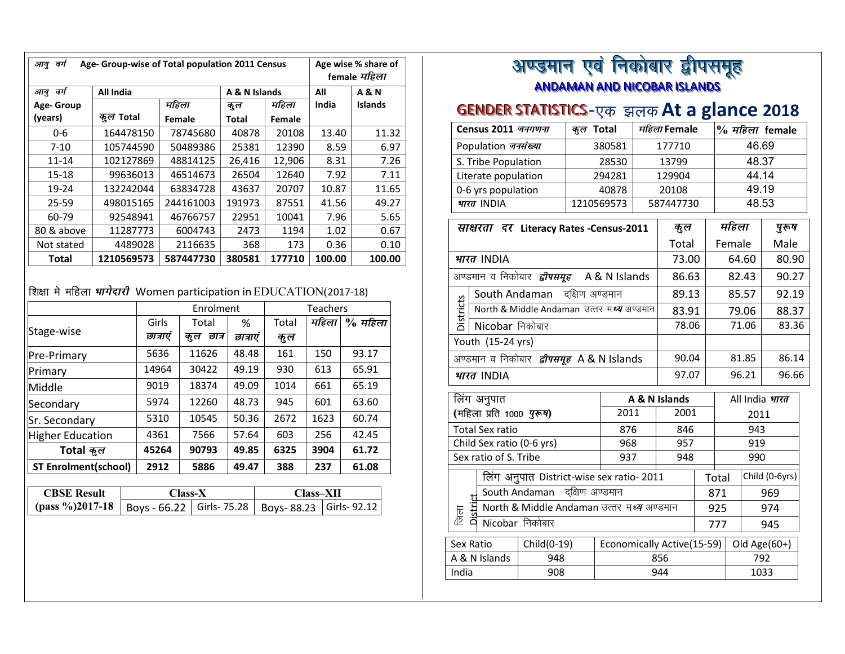*ang*  $\overline{a}$  *Age-* Group-wise of Total population 2011 Census | Age wise % share of *female महिला आयु वर्ग*  **Age- Group (years)** All India  $ABN$  Islands All **India A & N Islands** *dqy* **Total**  महिला **Female** *dqy* **Total** महिला **Female** 0-6 <sup>164478150</sup> <sup>78745680</sup> <sup>40878</sup> <sup>20108</sup> 13.40 11.32 7-10 <sup>105744590</sup> <sup>50489386</sup> <sup>25381</sup> <sup>12390</sup> 8.59 6.97 11-14 <sup>102127869</sup> <sup>48814125</sup> 26,416 12,906 8.31 7.26 15-18 <sup>99636013</sup> <sup>46514673</sup> <sup>26504</sup> <sup>12640</sup> 7.92 7.11 19-24 <sup>132242044</sup> <sup>63834728</sup> <sup>43637</sup> <sup>20707</sup> 10.87 11.65 25-59498015165 244161003 191973 87551 41.56 49.27<br>92548941 46766757 22951 10041 7.96 5.65 60-79 <sup>92548941</sup> <sup>46766757</sup> <sup>22951</sup> <sup>10041</sup> 7.96 5.65 80 & above | 11287773 0.67 | 5004743 | 2473 | 1194 | 1.02 | 0.67<br>| 4489028 | 2116635 | 368 | 173 | 0.36 | 0.10 Not stated <sup>4489028</sup> <sup>2116635</sup> <sup>368</sup> <sup>173</sup> 0.36 0.10 **Total 1210569573<sup>587447730</sup> <sup>380581</sup> <sup>177710</sup> 100.00 100.00**

## *f'k{kk e s efgyk Òkxsnkjh* Women participation inEDUCATION(2017-18)

|                             |          | Enrolment<br><b>Teachers</b> |          |       |       |           |
|-----------------------------|----------|------------------------------|----------|-------|-------|-----------|
|                             | Girls    | Total                        | %        | Total | महिला | $%$ महिला |
| Stage-wise                  | छात्राएं | छात्र<br>कूल                 | छात्राएं | कुल   |       |           |
| Pre-Primary                 | 5636     | 11626                        | 48.48    | 161   | 150   | 93.17     |
| Primary                     | 14964    | 30422                        | 49.19    | 930   | 613   | 65.91     |
| Middle                      | 9019     | 18374                        | 49.09    | 1014  | 661   | 65.19     |
| Secondary                   | 5974     | 12260                        | 48.73    | 945   | 601   | 63.60     |
| Sr. Secondary               | 5310     | 10545                        | 50.36    | 2672  | 1623  | 60.74     |
| <b>Higher Education</b>     | 4361     | 7566                         | 57.64    | 603   | 256   | 42.45     |
| Total कुल                   | 45264    | 90793                        | 49.85    | 6325  | 3904  | 61.72     |
| <b>ST Enrolment(school)</b> | 2912     | 5886                         | 49.47    | 388   | 237   | 61.08     |

| <b>CBSE Result</b>                                                         | Class-X | <b>Class–XII</b> |  |  |
|----------------------------------------------------------------------------|---------|------------------|--|--|
| (pass %)2017-18   Boys - 66.22   Girls- 75.28   Boys- 88.23   Girls- 92.12 |         |                  |  |  |

#### अण्डमान एवं <u>ANDAMAN AND NICOBAR ISLANDS</u> <u>ि</u> निको *ss*बार द्वीपसमूह

# <mark>GENDER STATISTICS</mark>-एक झलक $At$  a glance 2018

| 46.69<br>380581<br>177710<br>Population जनसंख्या<br>48.37<br>S. Tribe Population<br>28530<br>13799<br>44.14<br>294281<br>Literate population<br>129904<br>49.19<br>0-6 yrs population<br>40878<br>20108<br>भारत INDIA<br>1210569573<br>48.53<br>587447730<br>महिला<br>पुरूष<br>कुल<br>साक्षरता दर Literacy Rates - Census-2011<br>Total<br>Female<br>Male<br>भारत INDIA<br>73.00<br>64.60<br>80.90<br>अण्डमान व निकोबार <i>द्वीपसमूह</i> A&N Islands<br>86.63<br>82.43<br>South Andaman दक्षिण अण्डमान<br>89.13<br>85.57<br>Districts<br>North & Middle Andaman उत्तर मध्य अण्डमान<br>83.91<br>79.06<br>78.06<br>71.06<br>Nicobar निकोबार<br>Youth (15-24 yrs)<br>90.04<br>81.85<br>अण्डमान व निकोबार <i>द्वीपसमूह</i> A & N Islands<br>97.07<br>96.21<br>भारत INDIA<br>लिंग अनुपात<br>All India भारत<br>A & N Islands<br>(महिला प्रति 1000 <i>पुरूष</i> )<br>2011<br>2001<br>2011<br><b>Total Sex ratio</b><br>876<br>846<br>943<br>Child Sex ratio (0-6 yrs)<br>968<br>957<br>919<br>Sex ratio of S. Tribe<br>937<br>948<br>990<br>Child (0-6yrs)<br>लिंग अनुपात District-wise sex ratio- 2011<br>Total<br>South Andaman<br>दक्षिण अण्डमान<br>871<br>969<br>North & Middle Andaman उत्तर मध्य अण्डमान<br>925<br>974<br>क<br>डि<br>Nicobar निकोबार<br>777<br>945<br>Sex Ratio<br>Child(0-19)<br>Economically Active(15-59)<br>Old Age(60+)<br>A & N Islands<br>948<br>792<br>856<br>908<br>India<br>944<br>1033 | Census 2011 जनगणना | कुल Total |  | महिला Female |  |  |  | $%$ $H\bar{\epsilon}$ ला female |
|------------------------------------------------------------------------------------------------------------------------------------------------------------------------------------------------------------------------------------------------------------------------------------------------------------------------------------------------------------------------------------------------------------------------------------------------------------------------------------------------------------------------------------------------------------------------------------------------------------------------------------------------------------------------------------------------------------------------------------------------------------------------------------------------------------------------------------------------------------------------------------------------------------------------------------------------------------------------------------------------------------------------------------------------------------------------------------------------------------------------------------------------------------------------------------------------------------------------------------------------------------------------------------------------------------------------------------------------------------------------------------------------------------------|--------------------|-----------|--|--------------|--|--|--|---------------------------------|
| 92.19                                                                                                                                                                                                                                                                                                                                                                                                                                                                                                                                                                                                                                                                                                                                                                                                                                                                                                                                                                                                                                                                                                                                                                                                                                                                                                                                                                                                            |                    |           |  |              |  |  |  |                                 |
|                                                                                                                                                                                                                                                                                                                                                                                                                                                                                                                                                                                                                                                                                                                                                                                                                                                                                                                                                                                                                                                                                                                                                                                                                                                                                                                                                                                                                  |                    |           |  |              |  |  |  |                                 |
| 90.27                                                                                                                                                                                                                                                                                                                                                                                                                                                                                                                                                                                                                                                                                                                                                                                                                                                                                                                                                                                                                                                                                                                                                                                                                                                                                                                                                                                                            |                    |           |  |              |  |  |  |                                 |
|                                                                                                                                                                                                                                                                                                                                                                                                                                                                                                                                                                                                                                                                                                                                                                                                                                                                                                                                                                                                                                                                                                                                                                                                                                                                                                                                                                                                                  |                    |           |  |              |  |  |  |                                 |
|                                                                                                                                                                                                                                                                                                                                                                                                                                                                                                                                                                                                                                                                                                                                                                                                                                                                                                                                                                                                                                                                                                                                                                                                                                                                                                                                                                                                                  |                    |           |  |              |  |  |  |                                 |
|                                                                                                                                                                                                                                                                                                                                                                                                                                                                                                                                                                                                                                                                                                                                                                                                                                                                                                                                                                                                                                                                                                                                                                                                                                                                                                                                                                                                                  |                    |           |  |              |  |  |  |                                 |
|                                                                                                                                                                                                                                                                                                                                                                                                                                                                                                                                                                                                                                                                                                                                                                                                                                                                                                                                                                                                                                                                                                                                                                                                                                                                                                                                                                                                                  |                    |           |  |              |  |  |  |                                 |
|                                                                                                                                                                                                                                                                                                                                                                                                                                                                                                                                                                                                                                                                                                                                                                                                                                                                                                                                                                                                                                                                                                                                                                                                                                                                                                                                                                                                                  |                    |           |  |              |  |  |  |                                 |
| 88.37<br>83.36<br>86.14<br>96.66                                                                                                                                                                                                                                                                                                                                                                                                                                                                                                                                                                                                                                                                                                                                                                                                                                                                                                                                                                                                                                                                                                                                                                                                                                                                                                                                                                                 |                    |           |  |              |  |  |  |                                 |
|                                                                                                                                                                                                                                                                                                                                                                                                                                                                                                                                                                                                                                                                                                                                                                                                                                                                                                                                                                                                                                                                                                                                                                                                                                                                                                                                                                                                                  |                    |           |  |              |  |  |  |                                 |
|                                                                                                                                                                                                                                                                                                                                                                                                                                                                                                                                                                                                                                                                                                                                                                                                                                                                                                                                                                                                                                                                                                                                                                                                                                                                                                                                                                                                                  |                    |           |  |              |  |  |  |                                 |
|                                                                                                                                                                                                                                                                                                                                                                                                                                                                                                                                                                                                                                                                                                                                                                                                                                                                                                                                                                                                                                                                                                                                                                                                                                                                                                                                                                                                                  |                    |           |  |              |  |  |  |                                 |
|                                                                                                                                                                                                                                                                                                                                                                                                                                                                                                                                                                                                                                                                                                                                                                                                                                                                                                                                                                                                                                                                                                                                                                                                                                                                                                                                                                                                                  |                    |           |  |              |  |  |  |                                 |
|                                                                                                                                                                                                                                                                                                                                                                                                                                                                                                                                                                                                                                                                                                                                                                                                                                                                                                                                                                                                                                                                                                                                                                                                                                                                                                                                                                                                                  |                    |           |  |              |  |  |  |                                 |
|                                                                                                                                                                                                                                                                                                                                                                                                                                                                                                                                                                                                                                                                                                                                                                                                                                                                                                                                                                                                                                                                                                                                                                                                                                                                                                                                                                                                                  |                    |           |  |              |  |  |  |                                 |
|                                                                                                                                                                                                                                                                                                                                                                                                                                                                                                                                                                                                                                                                                                                                                                                                                                                                                                                                                                                                                                                                                                                                                                                                                                                                                                                                                                                                                  |                    |           |  |              |  |  |  |                                 |
|                                                                                                                                                                                                                                                                                                                                                                                                                                                                                                                                                                                                                                                                                                                                                                                                                                                                                                                                                                                                                                                                                                                                                                                                                                                                                                                                                                                                                  |                    |           |  |              |  |  |  |                                 |
|                                                                                                                                                                                                                                                                                                                                                                                                                                                                                                                                                                                                                                                                                                                                                                                                                                                                                                                                                                                                                                                                                                                                                                                                                                                                                                                                                                                                                  |                    |           |  |              |  |  |  |                                 |
|                                                                                                                                                                                                                                                                                                                                                                                                                                                                                                                                                                                                                                                                                                                                                                                                                                                                                                                                                                                                                                                                                                                                                                                                                                                                                                                                                                                                                  |                    |           |  |              |  |  |  |                                 |
|                                                                                                                                                                                                                                                                                                                                                                                                                                                                                                                                                                                                                                                                                                                                                                                                                                                                                                                                                                                                                                                                                                                                                                                                                                                                                                                                                                                                                  |                    |           |  |              |  |  |  |                                 |
|                                                                                                                                                                                                                                                                                                                                                                                                                                                                                                                                                                                                                                                                                                                                                                                                                                                                                                                                                                                                                                                                                                                                                                                                                                                                                                                                                                                                                  |                    |           |  |              |  |  |  |                                 |
|                                                                                                                                                                                                                                                                                                                                                                                                                                                                                                                                                                                                                                                                                                                                                                                                                                                                                                                                                                                                                                                                                                                                                                                                                                                                                                                                                                                                                  |                    |           |  |              |  |  |  |                                 |
|                                                                                                                                                                                                                                                                                                                                                                                                                                                                                                                                                                                                                                                                                                                                                                                                                                                                                                                                                                                                                                                                                                                                                                                                                                                                                                                                                                                                                  |                    |           |  |              |  |  |  |                                 |
|                                                                                                                                                                                                                                                                                                                                                                                                                                                                                                                                                                                                                                                                                                                                                                                                                                                                                                                                                                                                                                                                                                                                                                                                                                                                                                                                                                                                                  |                    |           |  |              |  |  |  |                                 |
|                                                                                                                                                                                                                                                                                                                                                                                                                                                                                                                                                                                                                                                                                                                                                                                                                                                                                                                                                                                                                                                                                                                                                                                                                                                                                                                                                                                                                  |                    |           |  |              |  |  |  |                                 |
|                                                                                                                                                                                                                                                                                                                                                                                                                                                                                                                                                                                                                                                                                                                                                                                                                                                                                                                                                                                                                                                                                                                                                                                                                                                                                                                                                                                                                  |                    |           |  |              |  |  |  |                                 |
|                                                                                                                                                                                                                                                                                                                                                                                                                                                                                                                                                                                                                                                                                                                                                                                                                                                                                                                                                                                                                                                                                                                                                                                                                                                                                                                                                                                                                  |                    |           |  |              |  |  |  |                                 |